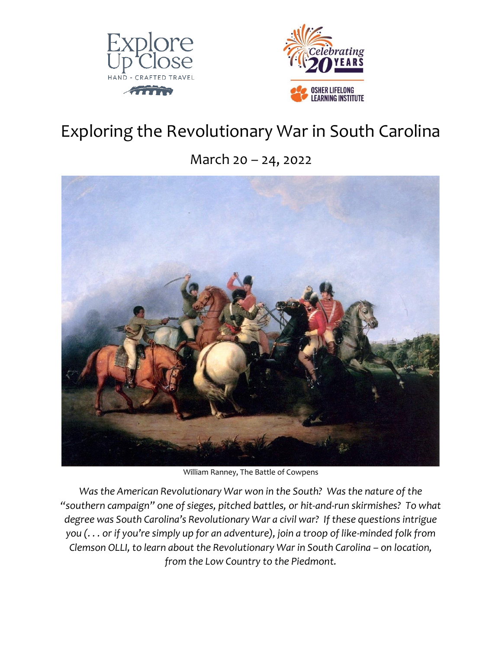



# Exploring the Revolutionary War in South Carolina

March 20 – 24, 2022



William Ranney, The Battle of Cowpens

Was the American Revolutionary War won in the South? Was the nature of the *"southern campaign" one of sieges, pitched battles, or hit-and-run skirmishes? To what degree was South Carolina's Revolutionary War a civil war? If these questions intrigue you (. . . or if you're simply up for an adventure), join a troop of like-minded folk from Clemson OLLI, to learn about the Revolutionary War in South Carolina - on location, from the Low Country to the Piedmont.*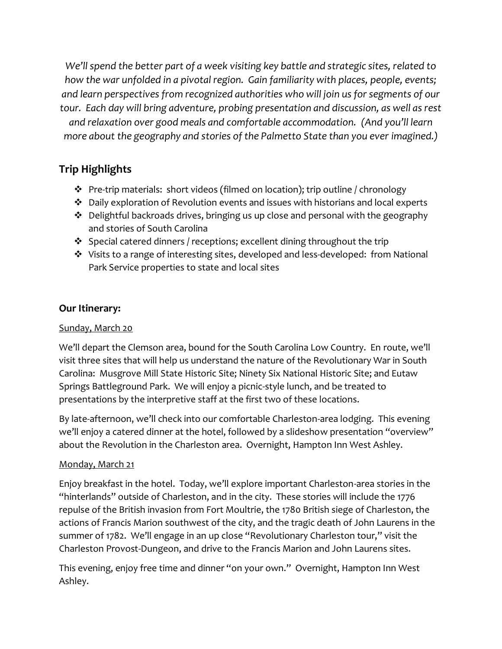*We'll spend the better part of a week visiting key battle and strategic sites, related to how the war unfolded in a pivotal region. Gain familiarity with places, people, events; and learn perspectives from recognized authorities who will join us for segments of our tour. Each day will bring adventure, probing presentation and discussion, as well as rest and relaxation over good meals and comfortable accommodation. (And you'll learn more about the geography and stories of the Palmetto State than you ever imagined.)*

## **Trip Highlights**

- ❖ Pre-trip materials: short videos (filmed on location); trip outline / chronology
- ❖ Daily exploration of Revolution events and issues with historians and local experts
- ❖ Delightful backroads drives, bringing us up close and personal with the geography and stories of South Carolina
- ❖ Special catered dinners / receptions; excellent dining throughout the trip
- ❖ Visits to a range of interesting sites, developed and less-developed: from National Park Service properties to state and local sites

### **Our Itinerary:**

#### Sunday, March 20

We'll depart the Clemson area, bound for the South Carolina Low Country. En route, we'll visit three sites that will help us understand the nature of the Revolutionary War in South Carolina: Musgrove Mill State Historic Site; Ninety Six National Historic Site; and Eutaw Springs Battleground Park. We will enjoy a picnic-style lunch, and be treated to presentations by the interpretive staff at the first two of these locations.

By late-afternoon, we'll check into our comfortable Charleston-area lodging. This evening we'll enjoy a catered dinner at the hotel, followed by a slideshow presentation "overview" about the Revolution in the Charleston area. Overnight, Hampton Inn West Ashley.

#### Monday, March 21

Enjoy breakfast in the hotel. Today, we'll explore important Charleston-area stories in the "hinterlands" outside of Charleston, and in the city. These stories will include the 1776 repulse of the British invasion from Fort Moultrie, the 1780 British siege of Charleston, the actions of Francis Marion southwest of the city, and the tragic death of John Laurens in the summer of 1782. We'll engage in an up close "Revolutionary Charleston tour," visit the Charleston Provost-Dungeon, and drive to the Francis Marion and John Laurens sites.

This evening, enjoy free time and dinner "on your own." Overnight, Hampton Inn West Ashley.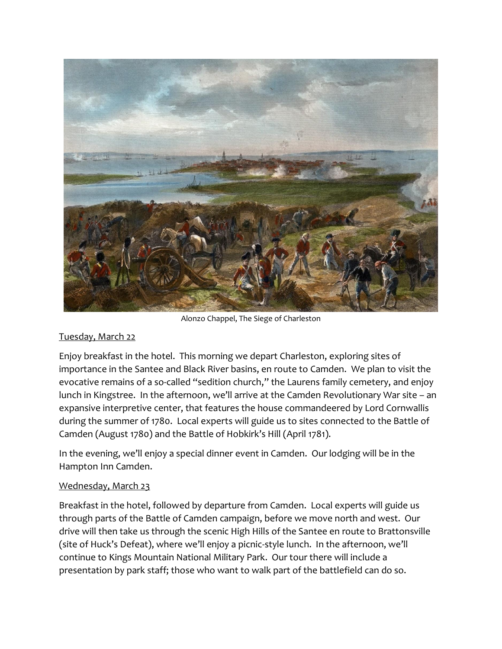

Alonzo Chappel, The Siege of Charleston

#### Tuesday, March 22

Enjoy breakfast in the hotel. This morning we depart Charleston, exploring sites of importance in the Santee and Black River basins, en route to Camden. We plan to visit the evocative remains of a so-called "sedition church," the Laurens family cemetery, and enjoy lunch in Kingstree. In the afternoon, we'll arrive at the Camden Revolutionary War site – an expansive interpretive center, that features the house commandeered by Lord Cornwallis during the summer of 1780. Local experts will guide us to sites connected to the Battle of Camden (August 1780) and the Battle of Hobkirk's Hill (April 1781).

In the evening, we'll enjoy a special dinner event in Camden. Our lodging will be in the Hampton Inn Camden.

#### Wednesday, March 23

Breakfast in the hotel, followed by departure from Camden. Local experts will guide us through parts of the Battle of Camden campaign, before we move north and west. Our drive will then take us through the scenic High Hills of the Santee en route to Brattonsville (site of Huck's Defeat), where we'll enjoy a picnic-style lunch. In the afternoon, we'll continue to Kings Mountain National Military Park. Our tour there will include a presentation by park staff; those who want to walk part of the battlefield can do so.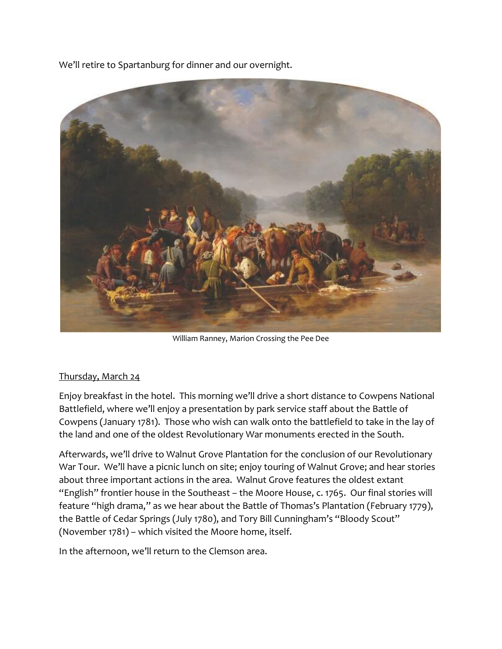We'll retire to Spartanburg for dinner and our overnight.



William Ranney, Marion Crossing the Pee Dee

#### Thursday, March 24

Enjoy breakfast in the hotel. This morning we'll drive a short distance to Cowpens National Battlefield, where we'll enjoy a presentation by park service staff about the Battle of Cowpens (January 1781). Those who wish can walk onto the battlefield to take in the lay of the land and one of the oldest Revolutionary War monuments erected in the South.

Afterwards, we'll drive to Walnut Grove Plantation for the conclusion of our Revolutionary War Tour. We'll have a picnic lunch on site; enjoy touring of Walnut Grove; and hear stories about three important actions in the area. Walnut Grove features the oldest extant "English" frontier house in the Southeast – the Moore House, c. 1765. Our final stories will feature "high drama," as we hear about the Battle of Thomas's Plantation (February 1779), the Battle of Cedar Springs (July 1780), and Tory Bill Cunningham's "Bloody Scout" (November 1781) – which visited the Moore home, itself.

In the afternoon, we'll return to the Clemson area.